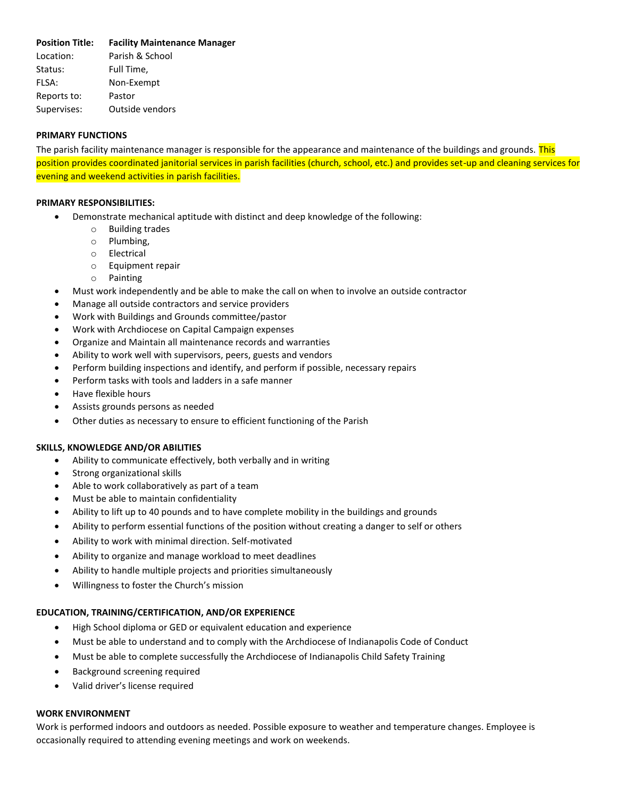# **Position Title: Facility Maintenance Manager**

Location: Parish & School Status: Full Time. FLSA: Non-Exempt Reports to: Pastor Supervises: Outside vendors

# **PRIMARY FUNCTIONS**

The parish facility maintenance manager is responsible for the appearance and maintenance of the buildings and grounds. This position provides coordinated janitorial services in parish facilities (church, school, etc.) and provides set-up and cleaning services for evening and weekend activities in parish facilities.

# **PRIMARY RESPONSIBILITIES:**

- Demonstrate mechanical aptitude with distinct and deep knowledge of the following:
	- o Building trades
	- o Plumbing,
	- o Electrical
	- o Equipment repair
	- o Painting
- Must work independently and be able to make the call on when to involve an outside contractor
- Manage all outside contractors and service providers
- Work with Buildings and Grounds committee/pastor
- Work with Archdiocese on Capital Campaign expenses
- Organize and Maintain all maintenance records and warranties
- Ability to work well with supervisors, peers, guests and vendors
- Perform building inspections and identify, and perform if possible, necessary repairs
- Perform tasks with tools and ladders in a safe manner
- Have flexible hours
- Assists grounds persons as needed
- Other duties as necessary to ensure to efficient functioning of the Parish

### **SKILLS, KNOWLEDGE AND/OR ABILITIES**

- Ability to communicate effectively, both verbally and in writing
- Strong organizational skills
- Able to work collaboratively as part of a team
- Must be able to maintain confidentiality
- Ability to lift up to 40 pounds and to have complete mobility in the buildings and grounds
- Ability to perform essential functions of the position without creating a danger to self or others
- Ability to work with minimal direction. Self-motivated
- Ability to organize and manage workload to meet deadlines
- Ability to handle multiple projects and priorities simultaneously
- Willingness to foster the Church's mission

#### **EDUCATION, TRAINING/CERTIFICATION, AND/OR EXPERIENCE**

- High School diploma or GED or equivalent education and experience
- Must be able to understand and to comply with the Archdiocese of Indianapolis Code of Conduct
- Must be able to complete successfully the Archdiocese of Indianapolis Child Safety Training
- Background screening required
- Valid driver's license required

# **WORK ENVIRONMENT**

Work is performed indoors and outdoors as needed. Possible exposure to weather and temperature changes. Employee is occasionally required to attending evening meetings and work on weekends.